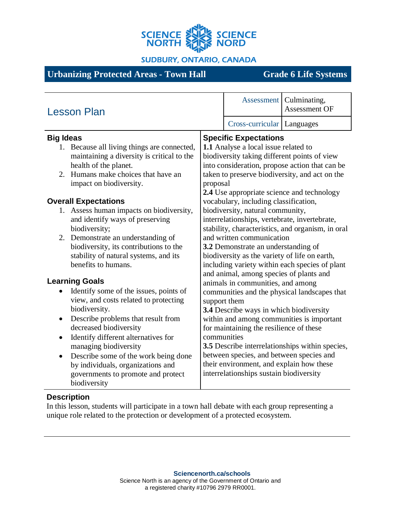

**SUDBURY, ONTARIO, CANADA** 

# **Urbanizing Protected Areas - Town Hall Grade 6 Life Systems**

| <b>Lesson Plan</b>                                                                                                                                                                                                                                                                                                                                                                                                                                                                                                                                                                                            |                                                                                                                                                                                                                                                                                                                                                                                                                                                                                                                                                                                                                                                                                                                                                              |                                         | Assessment   Culminating,<br>Assessment OF |
|---------------------------------------------------------------------------------------------------------------------------------------------------------------------------------------------------------------------------------------------------------------------------------------------------------------------------------------------------------------------------------------------------------------------------------------------------------------------------------------------------------------------------------------------------------------------------------------------------------------|--------------------------------------------------------------------------------------------------------------------------------------------------------------------------------------------------------------------------------------------------------------------------------------------------------------------------------------------------------------------------------------------------------------------------------------------------------------------------------------------------------------------------------------------------------------------------------------------------------------------------------------------------------------------------------------------------------------------------------------------------------------|-----------------------------------------|--------------------------------------------|
|                                                                                                                                                                                                                                                                                                                                                                                                                                                                                                                                                                                                               |                                                                                                                                                                                                                                                                                                                                                                                                                                                                                                                                                                                                                                                                                                                                                              | Cross-curricular   Languages            |                                            |
| <b>Big Ideas</b>                                                                                                                                                                                                                                                                                                                                                                                                                                                                                                                                                                                              | <b>Specific Expectations</b>                                                                                                                                                                                                                                                                                                                                                                                                                                                                                                                                                                                                                                                                                                                                 |                                         |                                            |
| 1. Because all living things are connected,<br>maintaining a diversity is critical to the<br>health of the planet.<br>2. Humans make choices that have an<br>impact on biodiversity.<br><b>Overall Expectations</b><br>1. Assess human impacts on biodiversity,<br>and identify ways of preserving<br>biodiversity;<br>2. Demonstrate an understanding of<br>biodiversity, its contributions to the<br>stability of natural systems, and its<br>benefits to humans.<br><b>Learning Goals</b><br>Identify some of the issues, points of<br>$\bullet$<br>view, and costs related to protecting<br>biodiversity. | 1.1 Analyse a local issue related to<br>biodiversity taking different points of view<br>into consideration, propose action that can be<br>taken to preserve biodiversity, and act on the<br>proposal<br>2.4 Use appropriate science and technology<br>vocabulary, including classification,<br>biodiversity, natural community,<br>interrelationships, vertebrate, invertebrate,<br>stability, characteristics, and organism, in oral<br>and written communication<br>3.2 Demonstrate an understanding of<br>biodiversity as the variety of life on earth,<br>including variety within each species of plant<br>and animal, among species of plants and<br>animals in communities, and among<br>communities and the physical landscapes that<br>support them |                                         |                                            |
| Describe problems that result from<br>$\bullet$<br>decreased biodiversity                                                                                                                                                                                                                                                                                                                                                                                                                                                                                                                                     | within and among communities is important<br>for maintaining the resilience of these                                                                                                                                                                                                                                                                                                                                                                                                                                                                                                                                                                                                                                                                         |                                         |                                            |
| Identify different alternatives for<br>$\bullet$<br>managing biodiversity<br>Describe some of the work being done<br>$\bullet$<br>by individuals, organizations and                                                                                                                                                                                                                                                                                                                                                                                                                                           | communities<br>3.5 Describe interrelationships within species,<br>between species, and between species and<br>their environment, and explain how these                                                                                                                                                                                                                                                                                                                                                                                                                                                                                                                                                                                                       |                                         |                                            |
| governments to promote and protect<br>biodiversity                                                                                                                                                                                                                                                                                                                                                                                                                                                                                                                                                            |                                                                                                                                                                                                                                                                                                                                                                                                                                                                                                                                                                                                                                                                                                                                                              | interrelationships sustain biodiversity |                                            |

## **Description**

In this lesson, students will participate in a town hall debate with each group representing a unique role related to the protection or development of a protected ecosystem.